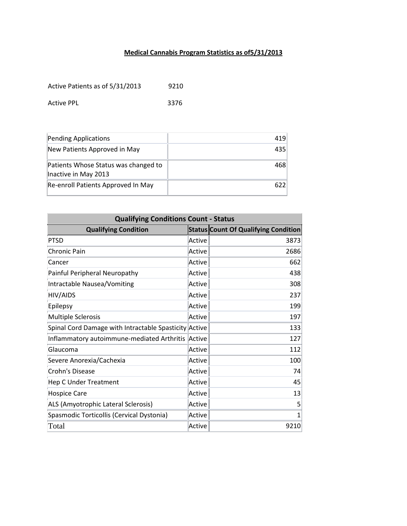## **Medical Cannabis Program Statistics as of5/31/2013**

Active Patients as of 5/31/2013 9210

Active PPL 3376

| Pending Applications                                         | 419 |
|--------------------------------------------------------------|-----|
| New Patients Approved in May                                 | 435 |
| Patients Whose Status was changed to<br>Inactive in May 2013 | 468 |
| Re-enroll Patients Approved In May                           | 622 |

| <b>Qualifying Conditions Count - Status</b>           |        |                                             |  |
|-------------------------------------------------------|--------|---------------------------------------------|--|
| <b>Qualifying Condition</b>                           |        | <b>Status Count Of Qualifying Condition</b> |  |
| <b>PTSD</b>                                           | Active | 3873                                        |  |
| Chronic Pain                                          | Active | 2686                                        |  |
| Cancer                                                | Active | 662                                         |  |
| Painful Peripheral Neuropathy                         | Active | 438                                         |  |
| Intractable Nausea/Vomiting                           | Active | 308                                         |  |
| HIV/AIDS                                              | Active | 237                                         |  |
| Epilepsy                                              | Active | 199                                         |  |
| <b>Multiple Sclerosis</b>                             | Active | 197                                         |  |
| Spinal Cord Damage with Intractable Spasticity Active |        | 133                                         |  |
| Inflammatory autoimmune-mediated Arthritis            | Active | 127                                         |  |
| Glaucoma                                              | Active | 112                                         |  |
| Severe Anorexia/Cachexia                              | Active | 100                                         |  |
| Crohn's Disease                                       | Active | 74                                          |  |
| <b>Hep C Under Treatment</b>                          | Active | 45                                          |  |
| <b>Hospice Care</b>                                   | Active | 13                                          |  |
| ALS (Amyotrophic Lateral Sclerosis)                   | Active | 5                                           |  |
| Spasmodic Torticollis (Cervical Dystonia)             | Active | 1                                           |  |
| Total                                                 | Active | 9210                                        |  |